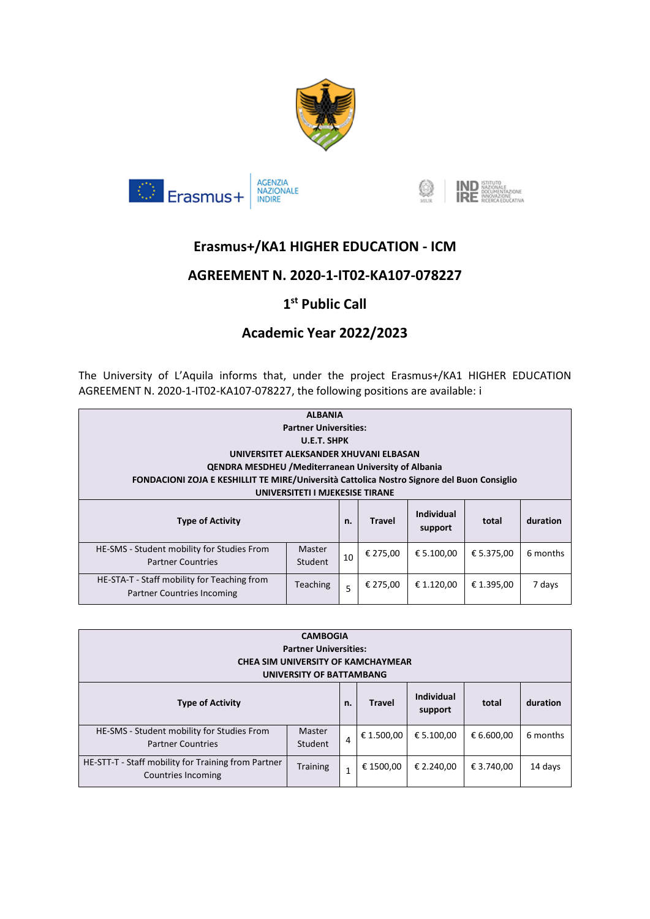





# **Erasmus+/KA1 HIGHER EDUCATION - ICM**

### **AGREEMENT N. 2020-1-IT02-KA107-078227**

# **1 st Public Call**

## **Academic Year 2022/2023**

The University of L'Aquila informs that, under the project Erasmus+/KA1 HIGHER EDUCATION AGREEMENT N. 2020-1-IT02-KA107-078227, the following positions are available: i

| <b>ALBANIA</b><br><b>Partner Universities:</b><br>U.E.T. SHPK                                                                 |                   |    |               |                              |            |          |  |
|-------------------------------------------------------------------------------------------------------------------------------|-------------------|----|---------------|------------------------------|------------|----------|--|
| UNIVERSITET ALEKSANDER XHUVANI ELBASAN                                                                                        |                   |    |               |                              |            |          |  |
| <b>QENDRA MESDHEU / Mediterranean University of Albania</b>                                                                   |                   |    |               |                              |            |          |  |
| FONDACIONI ZOJA E KESHILLIT TE MIRE/Università Cattolica Nostro Signore del Buon Consiglio<br>UNIVERSITETI I MJEKESISE TIRANE |                   |    |               |                              |            |          |  |
| <b>Type of Activity</b>                                                                                                       |                   | n. | <b>Travel</b> | <b>Individual</b><br>support | total      | duration |  |
| HE-SMS - Student mobility for Studies From<br><b>Partner Countries</b>                                                        | Master<br>Student | 10 | € 275,00      | € 5.100,00                   | € 5.375,00 | 6 months |  |
| HE-STA-T - Staff mobility for Teaching from<br>Partner Countries Incoming                                                     | <b>Teaching</b>   | 5  | € 275.00      | € 1.120.00                   | € 1.395,00 | 7 days   |  |

| <b>CAMBOGIA</b><br><b>Partner Universities:</b><br>CHEA SIM UNIVERSITY OF KAMCHAYMEAR<br>UNIVERSITY OF BATTAMBANG |                   |              |               |                              |            |          |
|-------------------------------------------------------------------------------------------------------------------|-------------------|--------------|---------------|------------------------------|------------|----------|
| <b>Type of Activity</b>                                                                                           |                   | n.           | <b>Travel</b> | <b>Individual</b><br>support | total      | duration |
| HE-SMS - Student mobility for Studies From<br><b>Partner Countries</b>                                            | Master<br>Student | 4            | € 1.500,00    | € 5.100.00                   | € 6.600,00 | 6 months |
| HE-STT-T - Staff mobility for Training from Partner<br>Countries Incoming                                         | <b>Training</b>   | $\mathbf{1}$ | € 1500,00     | € 2.240.00                   | € 3.740,00 | 14 days  |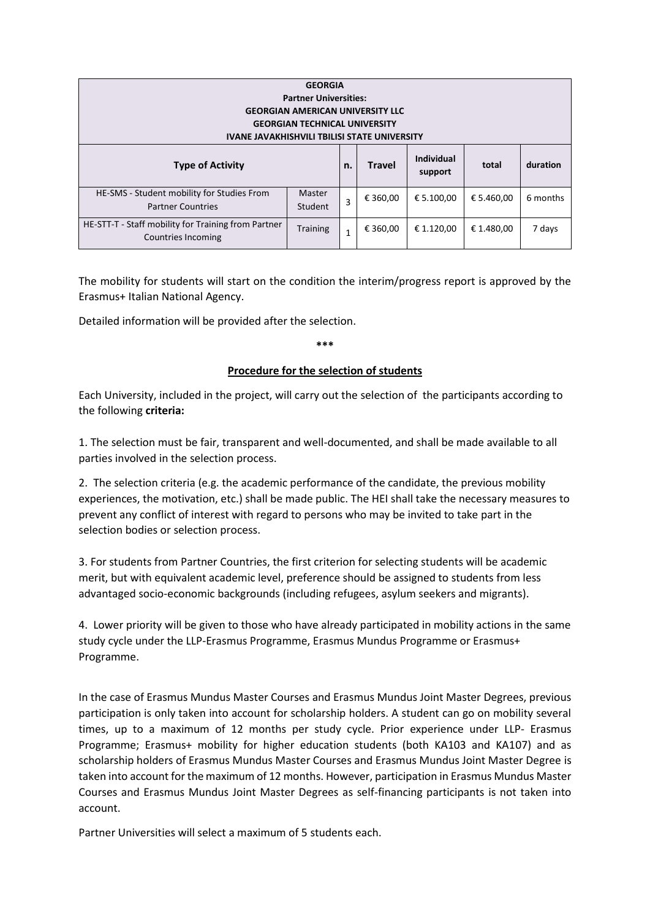| <b>GEORGIA</b><br><b>Partner Universities:</b><br><b>GEORGIAN AMERICAN UNIVERSITY LLC</b><br><b>GEORGIAN TECHNICAL UNIVERSITY</b><br><b>IVANE JAVAKHISHVILI TBILISI STATE UNIVERSITY</b> |                   |    |               |                              |            |          |  |
|------------------------------------------------------------------------------------------------------------------------------------------------------------------------------------------|-------------------|----|---------------|------------------------------|------------|----------|--|
| <b>Type of Activity</b>                                                                                                                                                                  |                   | n. | <b>Travel</b> | <b>Individual</b><br>support | total      | duration |  |
| HE-SMS - Student mobility for Studies From<br><b>Partner Countries</b>                                                                                                                   | Master<br>Student | 3  | € 360,00      | € 5.100.00                   | € 5.460,00 | 6 months |  |
| HE-STT-T - Staff mobility for Training from Partner<br>Countries Incoming                                                                                                                | <b>Training</b>   |    | € 360,00      | € 1.120,00                   | € 1.480,00 | 7 days   |  |

The mobility for students will start on the condition the interim/progress report is approved by the Erasmus+ Italian National Agency.

Detailed information will be provided after the selection.

**\*\*\***

#### **Procedure for the selection of students**

Each University, included in the project, will carry out the selection of the participants according to the following **criteria:**

1. The selection must be fair, transparent and well-documented, and shall be made available to all parties involved in the selection process.

2. The selection criteria (e.g. the academic performance of the candidate, the previous mobility experiences, the motivation, etc.) shall be made public. The HEI shall take the necessary measures to prevent any conflict of interest with regard to persons who may be invited to take part in the selection bodies or selection process.

3. For students from Partner Countries, the first criterion for selecting students will be academic merit, but with equivalent academic level, preference should be assigned to students from less advantaged socio-economic backgrounds (including refugees, asylum seekers and migrants).

4. Lower priority will be given to those who have already participated in mobility actions in the same study cycle under the LLP-Erasmus Programme, Erasmus Mundus Programme or Erasmus+ Programme.

In the case of Erasmus Mundus Master Courses and Erasmus Mundus Joint Master Degrees, previous participation is only taken into account for scholarship holders. A student can go on mobility several times, up to a maximum of 12 months per study cycle. Prior experience under LLP- Erasmus Programme; Erasmus+ mobility for higher education students (both KA103 and KA107) and as scholarship holders of Erasmus Mundus Master Courses and Erasmus Mundus Joint Master Degree is taken into account for the maximum of 12 months. However, participation in Erasmus Mundus Master Courses and Erasmus Mundus Joint Master Degrees as self-financing participants is not taken into account.

Partner Universities will select a maximum of 5 students each.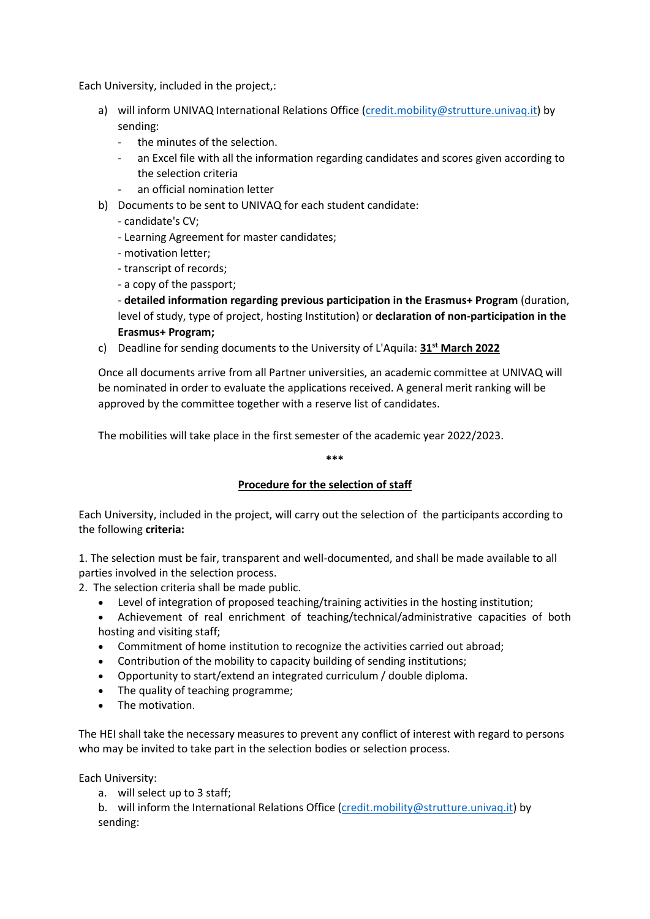Each University, included in the project,:

- a) will inform UNIVAQ International Relations Office [\(credit.mobility@strutture.univaq.it\)](mailto:credit.mobility@strutture.univaq.it) by sending:
	- the minutes of the selection.
	- an Excel file with all the information regarding candidates and scores given according to the selection criteria
	- an official nomination letter
- b) Documents to be sent to UNIVAQ for each student candidate:
	- candidate's CV;
	- Learning Agreement for master candidates;
	- motivation letter;
	- transcript of records;
	- a copy of the passport;

- **detailed information regarding previous participation in the Erasmus+ Program** (duration, level of study, type of project, hosting Institution) or **declaration of non-participation in the Erasmus+ Program;**

c) Deadline for sending documents to the University of L'Aquila: **31st March 2022**

Once all documents arrive from all Partner universities, an academic committee at UNIVAQ will be nominated in order to evaluate the applications received. A general merit ranking will be approved by the committee together with a reserve list of candidates.

The mobilities will take place in the first semester of the academic year 2022/2023.

**\*\*\***

### **Procedure for the selection of staff**

Each University, included in the project, will carry out the selection of the participants according to the following **criteria:**

1. The selection must be fair, transparent and well-documented, and shall be made available to all parties involved in the selection process.

- 2. The selection criteria shall be made public.
	- Level of integration of proposed teaching/training activities in the hosting institution;
	- Achievement of real enrichment of teaching/technical/administrative capacities of both hosting and visiting staff;
	- Commitment of home institution to recognize the activities carried out abroad;
	- Contribution of the mobility to capacity building of sending institutions;
	- Opportunity to start/extend an integrated curriculum / double diploma.
	- The quality of teaching programme;
	- The motivation.

The HEI shall take the necessary measures to prevent any conflict of interest with regard to persons who may be invited to take part in the selection bodies or selection process.

Each University:

a. will select up to 3 staff;

b. will inform the International Relations Office (credit.mobility@strutture.univag.it) by sending: